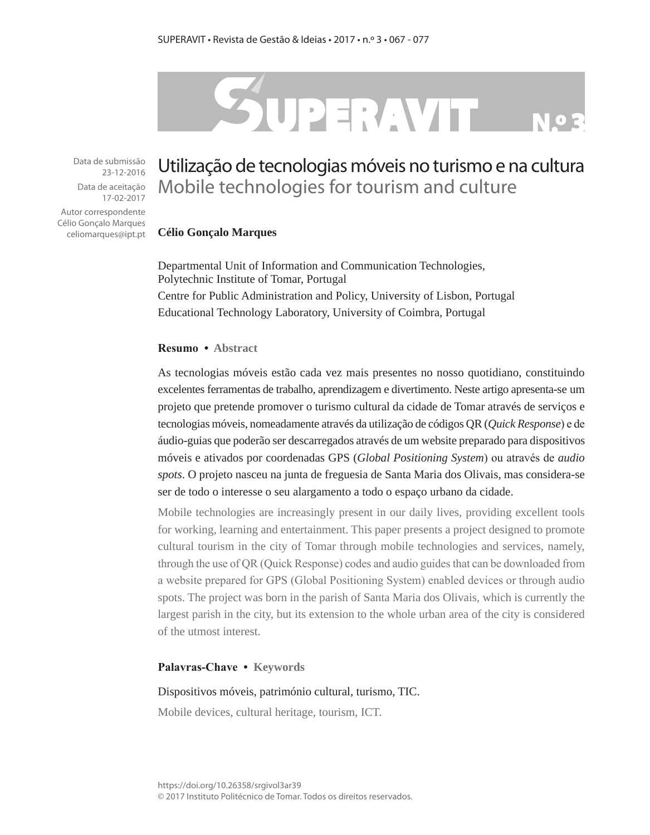# SUPERAVIT

Data de submissão 23-12-2016 Data de aceitação 17-02-2017

Autor correspondente Célio Gonçalo Marques celiomarques@ipt.pt

# Utilização de tecnologias móveis no turismo e na cultura Mobile technologies for tourism and culture

#### **Célio Gonçalo Marques**

Departmental Unit of Information and Communication Technologies, Polytechnic Institute of Tomar, Portugal Centre for Public Administration and Policy, University of Lisbon, Portugal Educational Technology Laboratory, University of Coimbra, Portugal

#### **Resumo • Abstract**

As tecnologias móveis estão cada vez mais presentes no nosso quotidiano, constituindo excelentes ferramentas de trabalho, aprendizagem e divertimento. Neste artigo apresenta-se um projeto que pretende promover o turismo cultural da cidade de Tomar através de serviços e tecnologias móveis, nomeadamente através da utilização de códigos QR (*Quick Response*) e de áudio-guias que poderão ser descarregados através de um website preparado para dispositivos móveis e ativados por coordenadas GPS (*Global Positioning System*) ou através de *audio spots*. O projeto nasceu na junta de freguesia de Santa Maria dos Olivais, mas considera-se ser de todo o interesse o seu alargamento a todo o espaço urbano da cidade.

Mobile technologies are increasingly present in our daily lives, providing excellent tools for working, learning and entertainment. This paper presents a project designed to promote cultural tourism in the city of Tomar through mobile technologies and services, namely, through the use of QR (Quick Response) codes and audio guides that can be downloaded from a website prepared for GPS (Global Positioning System) enabled devices or through audio spots. The project was born in the parish of Santa Maria dos Olivais, which is currently the largest parish in the city, but its extension to the whole urban area of the city is considered of the utmost interest.

#### **Palavras-Chave • Keywords**

#### Dispositivos móveis, património cultural, turismo, TIC.

Mobile devices, cultural heritage, tourism, ICT.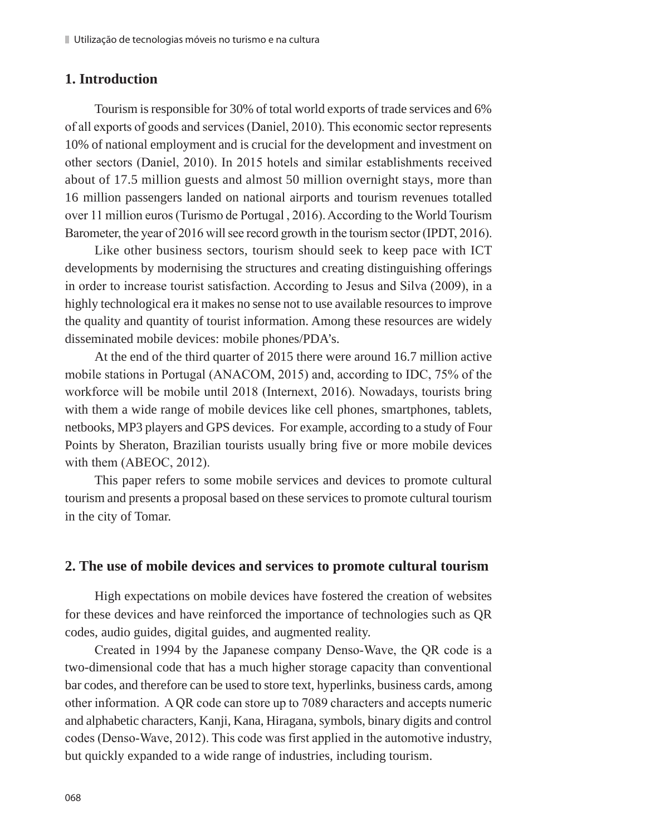# **1. Introduction**

Tourism is responsible for 30% of total world exports of trade services and 6% of all exports of goods and services (Daniel, 2010). This economic sector represents 10% of national employment and is crucial for the development and investment on other sectors (Daniel, 2010). In 2015 hotels and similar establishments received about of 17.5 million guests and almost 50 million overnight stays, more than 16 million passengers landed on national airports and tourism revenues totalled over 11 million euros (Turismo de Portugal , 2016). According to the World Tourism Barometer, the year of 2016 will see record growth in the tourism sector (IPDT, 2016).

Like other business sectors, tourism should seek to keep pace with ICT developments by modernising the structures and creating distinguishing offerings in order to increase tourist satisfaction. According to Jesus and Silva (2009), in a highly technological era it makes no sense not to use available resources to improve the quality and quantity of tourist information. Among these resources are widely disseminated mobile devices: mobile phones/PDA's.

At the end of the third quarter of 2015 there were around 16.7 million active mobile stations in Portugal (ANACOM, 2015) and, according to IDC, 75% of the workforce will be mobile until 2018 (Internext, 2016). Nowadays, tourists bring with them a wide range of mobile devices like cell phones, smartphones, tablets, netbooks, MP3 players and GPS devices. For example, according to a study of Four Points by Sheraton, Brazilian tourists usually bring five or more mobile devices with them (ABEOC, 2012).

This paper refers to some mobile services and devices to promote cultural tourism and presents a proposal based on these services to promote cultural tourism in the city of Tomar.

### **2. The use of mobile devices and services to promote cultural tourism**

High expectations on mobile devices have fostered the creation of websites for these devices and have reinforced the importance of technologies such as QR codes, audio guides, digital guides, and augmented reality.

Created in 1994 by the Japanese company Denso-Wave, the QR code is a two-dimensional code that has a much higher storage capacity than conventional bar codes, and therefore can be used to store text, hyperlinks, business cards, among other information. A QR code can store up to 7089 characters and accepts numeric and alphabetic characters, Kanji, Kana, Hiragana, symbols, binary digits and control codes (Denso-Wave, 2012). This code was first applied in the automotive industry, but quickly expanded to a wide range of industries, including tourism.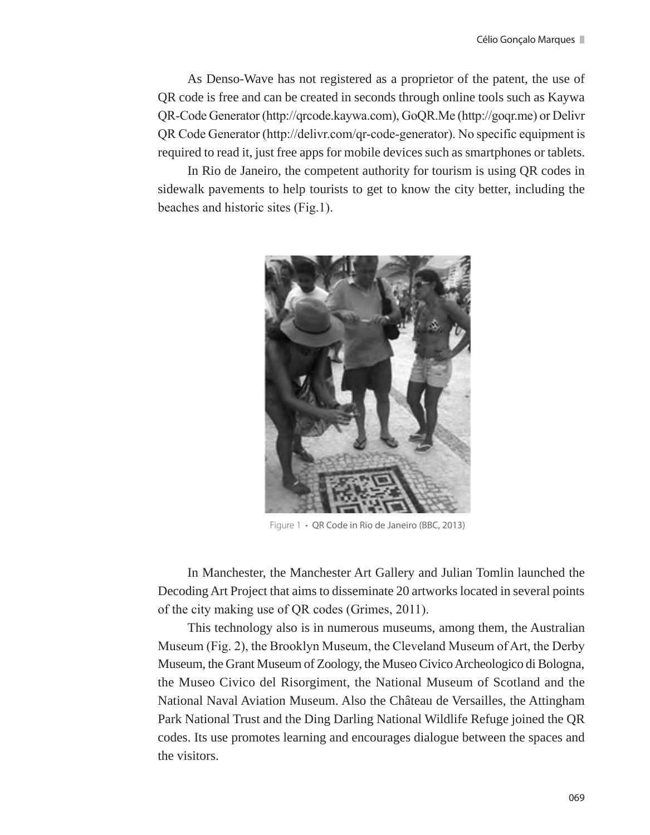As Denso-Wave has not registered as a proprietor of the patent, the use of QR code is free and can be created in seconds through online tools such as Kaywa QR-Code Generator (http://qrcode.kaywa.com), GoQR.Me (http://goqr.me) or Delivr QR Code Generator (http://delivr.com/qr-code-generator). No specific equipment is required to read it, just free apps for mobile devices such as smartphones or tablets.

In Rio de Janeiro, the competent authority for tourism is using QR codes in sidewalk pavements to help tourists to get to know the city better, including the beaches and historic sites (Fig.1).



Figure 1 **·** QR Code in Rio de Janeiro (BBC, 2013)

In Manchester, the Manchester Art Gallery and Julian Tomlin launched the Decoding Art Project that aims to disseminate 20 artworks located in several points of the city making use of QR codes (Grimes, 2011).

This technology also is in numerous museums, among them, the Australian Museum (Fig. 2), the Brooklyn Museum, the Cleveland Museum of Art, the Derby Museum, the Grant Museum of Zoology, the Museo Civico Archeologico di Bologna, the Museo Civico del Risorgiment, the National Museum of Scotland and the National Naval Aviation Museum. Also the Château de Versailles, the Attingham Park National Trust and the Ding Darling National Wildlife Refuge joined the QR codes. Its use promotes learning and encourages dialogue between the spaces and the visitors.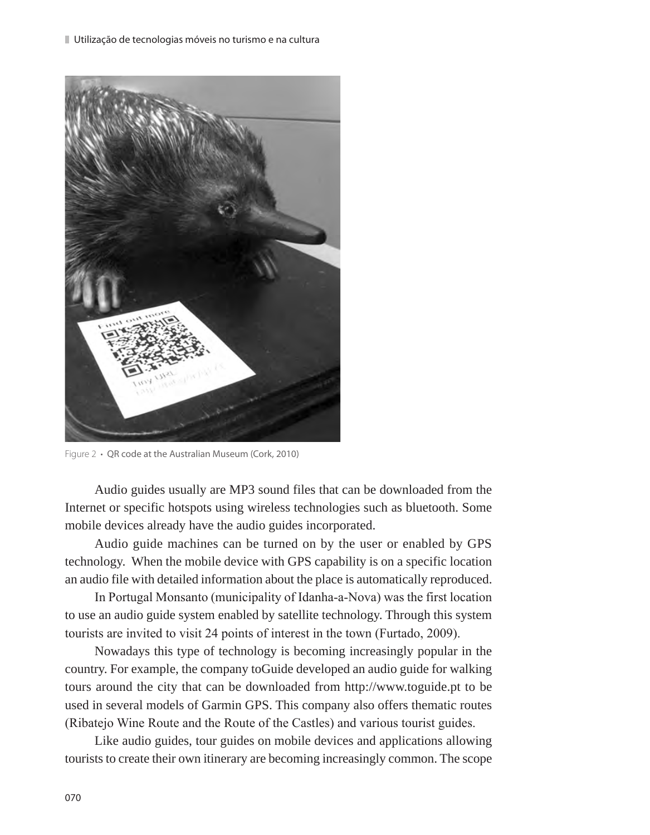

Figure 2 **·** QR code at the Australian Museum (Cork, 2010)

Audio guides usually are MP3 sound files that can be downloaded from the Internet or specific hotspots using wireless technologies such as bluetooth. Some mobile devices already have the audio guides incorporated.

Audio guide machines can be turned on by the user or enabled by GPS technology. When the mobile device with GPS capability is on a specific location an audio file with detailed information about the place is automatically reproduced.

In Portugal Monsanto (municipality of Idanha-a-Nova) was the first location to use an audio guide system enabled by satellite technology. Through this system tourists are invited to visit 24 points of interest in the town (Furtado, 2009).

Nowadays this type of technology is becoming increasingly popular in the country. For example, the company toGuide developed an audio guide for walking tours around the city that can be downloaded from http://www.toguide.pt to be used in several models of Garmin GPS. This company also offers thematic routes (Ribatejo Wine Route and the Route of the Castles) and various tourist guides.

Like audio guides, tour guides on mobile devices and applications allowing tourists to create their own itinerary are becoming increasingly common. The scope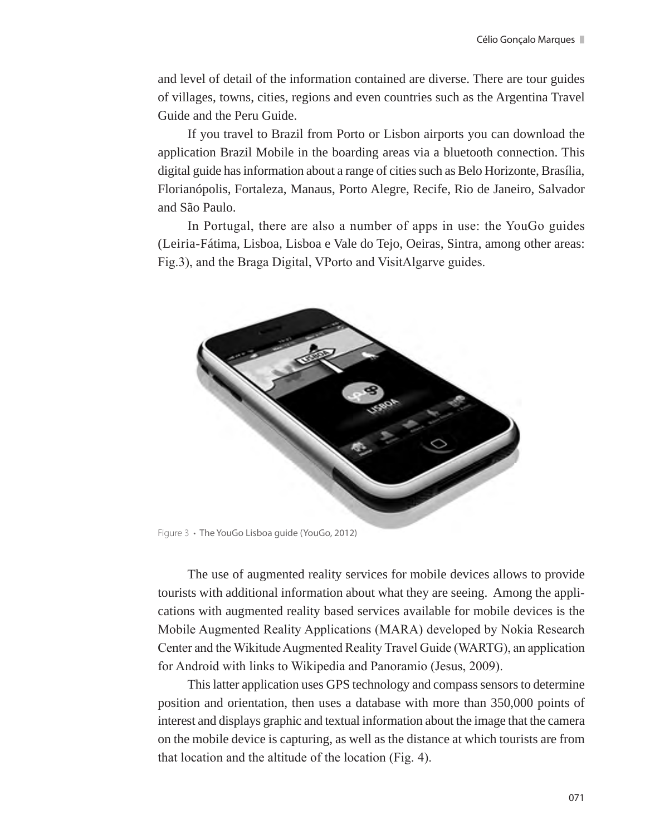and level of detail of the information contained are diverse. There are tour guides of villages, towns, cities, regions and even countries such as the Argentina Travel Guide and the Peru Guide.

If you travel to Brazil from Porto or Lisbon airports you can download the application Brazil Mobile in the boarding areas via a bluetooth connection. This digital guide has information about a range of cities such as Belo Horizonte, Brasília, Florianópolis, Fortaleza, Manaus, Porto Alegre, Recife, Rio de Janeiro, Salvador and São Paulo.

In Portugal, there are also a number of apps in use: the YouGo guides (Leiria-Fátima, Lisboa, Lisboa e Vale do Tejo, Oeiras, Sintra, among other areas: Fig.3), and the Braga Digital, VPorto and VisitAlgarve guides.



Figure 3 **·** The YouGo Lisboa guide (YouGo, 2012)

The use of augmented reality services for mobile devices allows to provide tourists with additional information about what they are seeing. Among the applications with augmented reality based services available for mobile devices is the Mobile Augmented Reality Applications (MARA) developed by Nokia Research Center and the Wikitude Augmented Reality Travel Guide (WARTG), an application for Android with links to Wikipedia and Panoramio (Jesus, 2009).

This latter application uses GPS technology and compass sensors to determine position and orientation, then uses a database with more than 350,000 points of interest and displays graphic and textual information about the image that the camera on the mobile device is capturing, as well as the distance at which tourists are from that location and the altitude of the location (Fig. 4).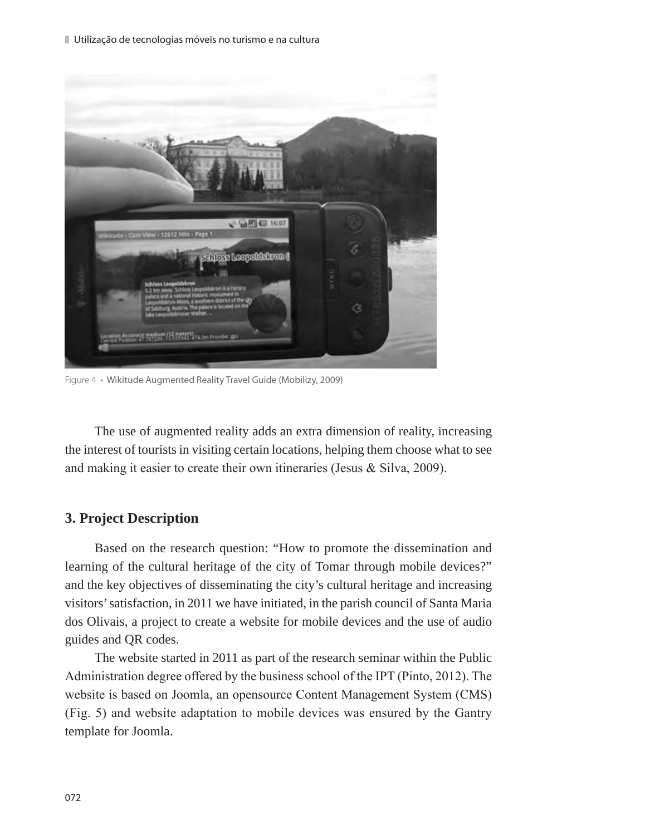Utilização de tecnologias móveis no turismo e na cultura



Figure 4 **·** Wikitude Augmented Reality Travel Guide (Mobilizy, 2009)

The use of augmented reality adds an extra dimension of reality, increasing the interest of tourists in visiting certain locations, helping them choose what to see and making it easier to create their own itineraries (Jesus & Silva, 2009).

# **3. Project Description**

Based on the research question: "How to promote the dissemination and learning of the cultural heritage of the city of Tomar through mobile devices?" and the key objectives of disseminating the city's cultural heritage and increasing visitors' satisfaction, in 2011 we have initiated, in the parish council of Santa Maria dos Olivais, a project to create a website for mobile devices and the use of audio guides and QR codes.

The website started in 2011 as part of the research seminar within the Public Administration degree offered by the business school of the IPT (Pinto, 2012). The website is based on Joomla, an opensource Content Management System (CMS) (Fig. 5) and website adaptation to mobile devices was ensured by the Gantry template for Joomla.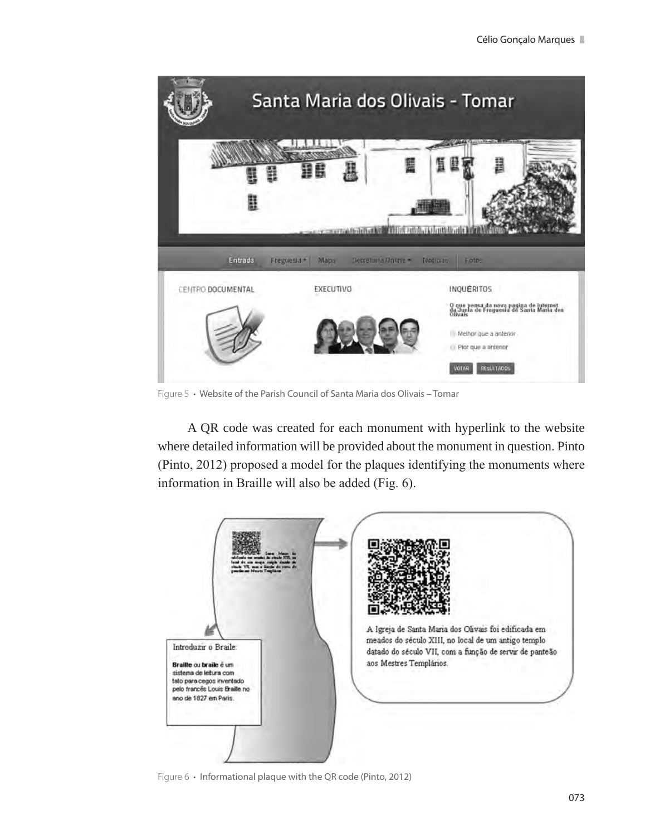

Figure 5 **·** Website of the Parish Council of Santa Maria dos Olivais – Tomar

A QR code was created for each monument with hyperlink to the website where detailed information will be provided about the monument in question. Pinto (Pinto, 2012) proposed a model for the plaques identifying the monuments where information in Braille will also be added (Fig. 6).



Figure 6 **·** Informational plaque with the QR code (Pinto, 2012)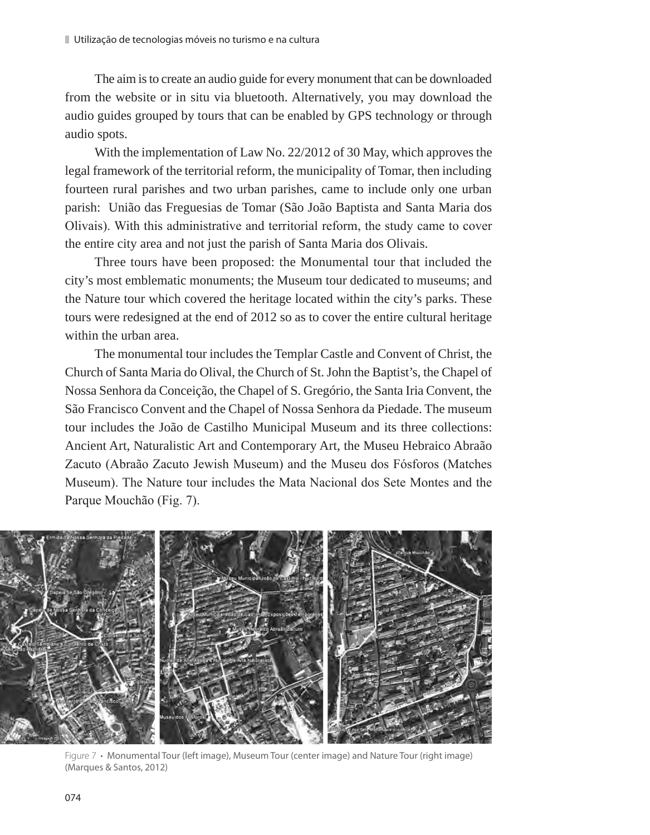The aim is to create an audio guide for every monument that can be downloaded from the website or in situ via bluetooth. Alternatively, you may download the audio guides grouped by tours that can be enabled by GPS technology or through audio spots.

With the implementation of Law No. 22/2012 of 30 May, which approves the legal framework of the territorial reform, the municipality of Tomar, then including fourteen rural parishes and two urban parishes, came to include only one urban parish: União das Freguesias de Tomar (São João Baptista and Santa Maria dos Olivais). With this administrative and territorial reform, the study came to cover the entire city area and not just the parish of Santa Maria dos Olivais.

Three tours have been proposed: the Monumental tour that included the city's most emblematic monuments; the Museum tour dedicated to museums; and the Nature tour which covered the heritage located within the city's parks. These tours were redesigned at the end of 2012 so as to cover the entire cultural heritage within the urban area.

The monumental tour includes the Templar Castle and Convent of Christ, the Church of Santa Maria do Olival, the Church of St. John the Baptist's, the Chapel of Nossa Senhora da Conceição, the Chapel of S. Gregório, the Santa Iria Convent, the São Francisco Convent and the Chapel of Nossa Senhora da Piedade. The museum tour includes the João de Castilho Municipal Museum and its three collections: Ancient Art, Naturalistic Art and Contemporary Art, the Museu Hebraico Abraão Zacuto (Abraão Zacuto Jewish Museum) and the Museu dos Fósforos (Matches Museum). The Nature tour includes the Mata Nacional dos Sete Montes and the Parque Mouchão (Fig. 7).



Figure 7 **·** Monumental Tour (left image), Museum Tour (center image) and Nature Tour (right image) (Marques & Santos, 2012)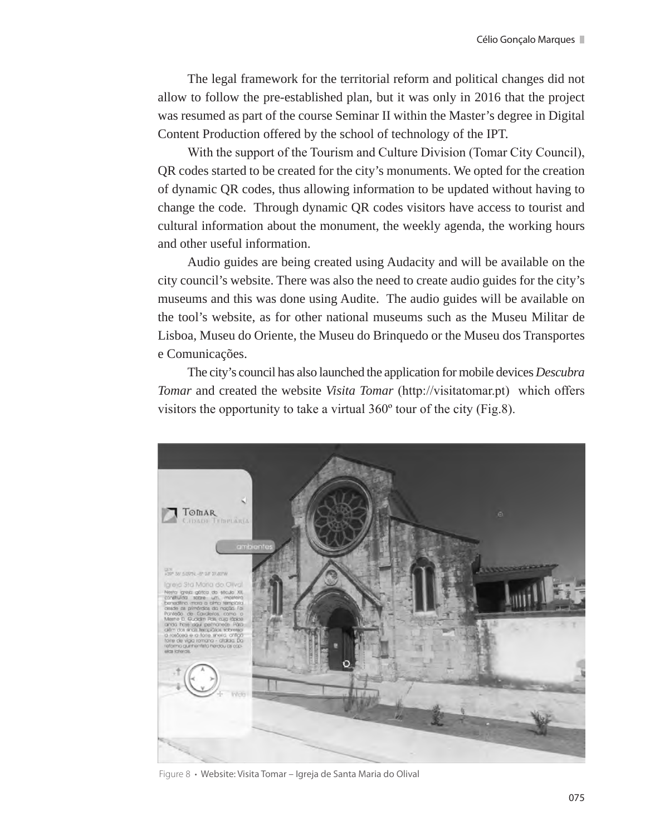The legal framework for the territorial reform and political changes did not allow to follow the pre-established plan, but it was only in 2016 that the project was resumed as part of the course Seminar II within the Master's degree in Digital Content Production offered by the school of technology of the IPT.

With the support of the Tourism and Culture Division (Tomar City Council), QR codes started to be created for the city's monuments. We opted for the creation of dynamic QR codes, thus allowing information to be updated without having to change the code. Through dynamic QR codes visitors have access to tourist and cultural information about the monument, the weekly agenda, the working hours and other useful information.

Audio guides are being created using Audacity and will be available on the city council's website. There was also the need to create audio guides for the city's museums and this was done using Audite. The audio guides will be available on the tool's website, as for other national museums such as the Museu Militar de Lisboa, Museu do Oriente, the Museu do Brinquedo or the Museu dos Transportes e Comunicações.

The city's council has also launched the application for mobile devices *Descubra Tomar* and created the website *Visita Tomar* (http://visitatomar.pt) which offers visitors the opportunity to take a virtual 360º tour of the city (Fig.8).



Figure 8 **·** Website: Visita Tomar – Igreja de Santa Maria do Olival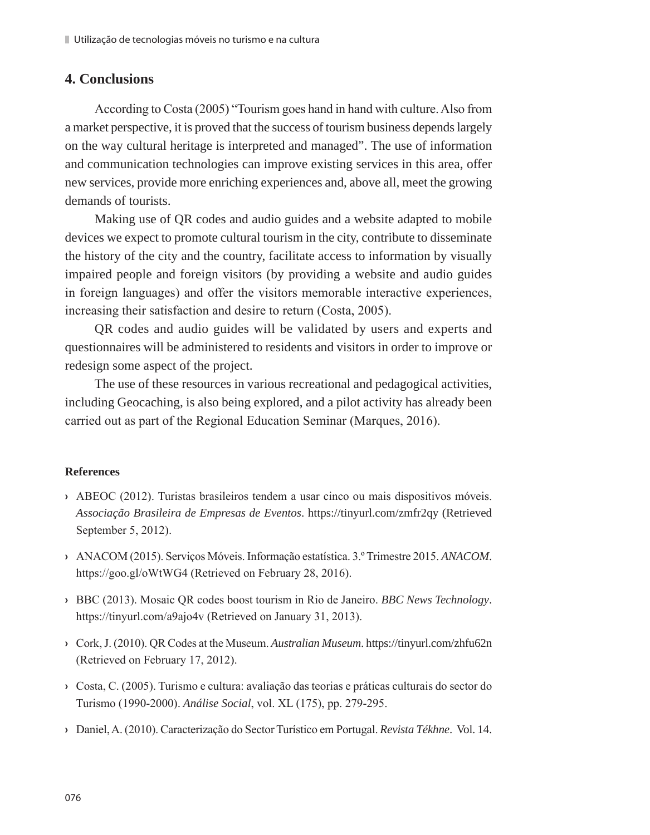# **4. Conclusions**

According to Costa (2005) "Tourism goes hand in hand with culture. Also from a market perspective, it is proved that the success of tourism business depends largely on the way cultural heritage is interpreted and managed". The use of information and communication technologies can improve existing services in this area, offer new services, provide more enriching experiences and, above all, meet the growing demands of tourists.

Making use of QR codes and audio guides and a website adapted to mobile devices we expect to promote cultural tourism in the city, contribute to disseminate the history of the city and the country, facilitate access to information by visually impaired people and foreign visitors (by providing a website and audio guides in foreign languages) and offer the visitors memorable interactive experiences, increasing their satisfaction and desire to return (Costa, 2005).

QR codes and audio guides will be validated by users and experts and questionnaires will be administered to residents and visitors in order to improve or redesign some aspect of the project.

The use of these resources in various recreational and pedagogical activities, including Geocaching, is also being explored, and a pilot activity has already been carried out as part of the Regional Education Seminar (Marques, 2016).

# **References**

- **›** ABEOC (2012). Turistas brasileiros tendem a usar cinco ou mais dispositivos móveis. *Associação Brasileira de Empresas de Eventos*. https://tinyurl.com/zmfr2qy (Retrieved September 5, 2012).
- **›** ANACOM (2015). Serviços Móveis. Informação estatística. 3.º Trimestre 2015. *ANACOM*. https://goo.gl/oWtWG4 (Retrieved on February 28, 2016).
- **›** BBC (2013). Mosaic QR codes boost tourism in Rio de Janeiro. *BBC News Technology*. https://tinyurl.com/a9ajo4v (Retrieved on January 31, 2013).
- **›** Cork, J. (2010). QR Codes at the Museum. *Australian Museum*. https://tinyurl.com/zhfu62n (Retrieved on February 17, 2012).
- **›** Costa, C. (2005). Turismo e cultura: avaliação das teorias e práticas culturais do sector do Turismo (1990-2000). *Análise Social*, vol. XL (175), pp. 279-295.
- **›** Daniel, A. (2010). Caracterização do Sector Turístico em Portugal. *Revista Tékhne*. Vol. 14.